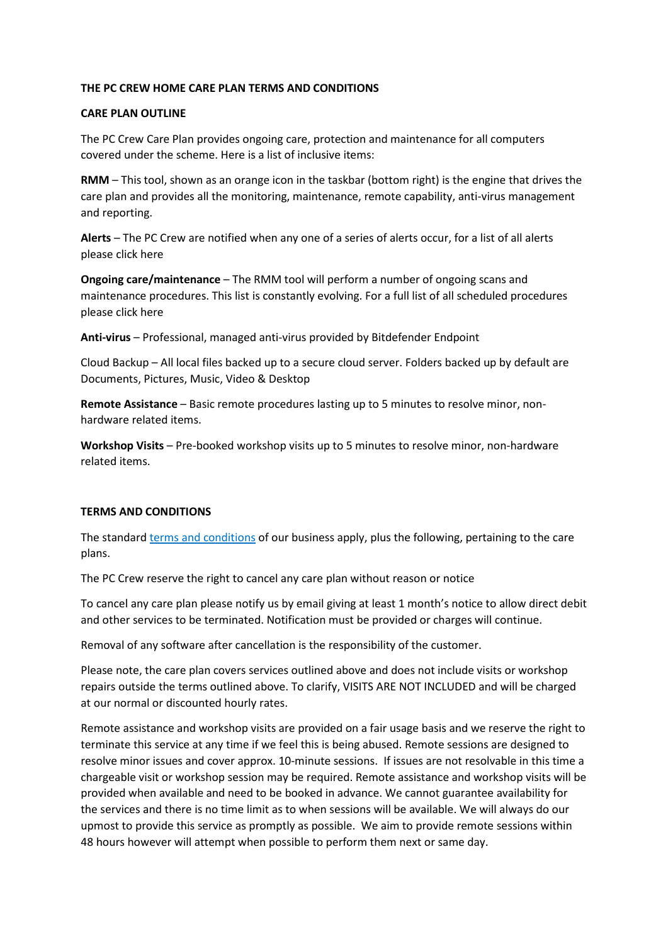## **THE PC CREW HOME CARE PLAN TERMS AND CONDITIONS**

## **CARE PLAN OUTLINE**

The PC Crew Care Plan provides ongoing care, protection and maintenance for all computers covered under the scheme. Here is a list of inclusive items:

**RMM** – This tool, shown as an orange icon in the taskbar (bottom right) is the engine that drives the care plan and provides all the monitoring, maintenance, remote capability, anti-virus management and reporting.

**Alerts** – The PC Crew are notified when any one of a series of alerts occur, for a list of all alerts please click here

**Ongoing care/maintenance** – The RMM tool will perform a number of ongoing scans and maintenance procedures. This list is constantly evolving. For a full list of all scheduled procedures please click here

**Anti-virus** – Professional, managed anti-virus provided by Bitdefender Endpoint

Cloud Backup – All local files backed up to a secure cloud server. Folders backed up by default are Documents, Pictures, Music, Video & Desktop

**Remote Assistance** – Basic remote procedures lasting up to 5 minutes to resolve minor, nonhardware related items.

**Workshop Visits** – Pre-booked workshop visits up to 5 minutes to resolve minor, non-hardware related items.

## **TERMS AND CONDITIONS**

The standard terms and conditions of our business apply, plus the following, pertaining to the care plans.

The PC Crew reserve the right to cancel any care plan without reason or notice

To cancel any care plan please notify us by email giving at least 1 month's notice to allow direct debit and other services to be terminated. Notification must be provided or charges will continue.

Removal of any software after cancellation is the responsibility of the customer.

Please note, the care plan covers services outlined above and does not include visits or workshop repairs outside the terms outlined above. To clarify, VISITS ARE NOT INCLUDED and will be charged at our normal or discounted hourly rates.

Remote assistance and workshop visits are provided on a fair usage basis and we reserve the right to terminate this service at any time if we feel this is being abused. Remote sessions are designed to resolve minor issues and cover approx. 10-minute sessions. If issues are not resolvable in this time a chargeable visit or workshop session may be required. Remote assistance and workshop visits will be provided when available and need to be booked in advance. We cannot guarantee availability for the services and there is no time limit as to when sessions will be available. We will always do our upmost to provide this service as promptly as possible. We aim to provide remote sessions within 48 hours however will attempt when possible to perform them next or same day.